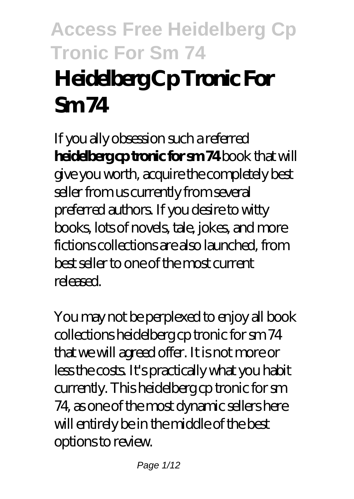# **Access Free Heidelberg Cp Tronic For Sm 74 Heidelberg Cp Tronic For Sm 74**

If you ally obsession such a referred **heidelberg cp tronic for sm 74** book that will give you worth, acquire the completely best seller from us currently from several preferred authors. If you desire to witty books, lots of novels, tale, jokes, and more fictions collections are also launched, from best seller to one of the most current released.

You may not be perplexed to enjoy all book collections heidelberg cp tronic for sm 74 that we will agreed offer. It is not more or less the costs. It's practically what you habit currently. This heidelberg cp tronic for sm 74, as one of the most dynamic sellers here will entirely be in the middle of the best options to review.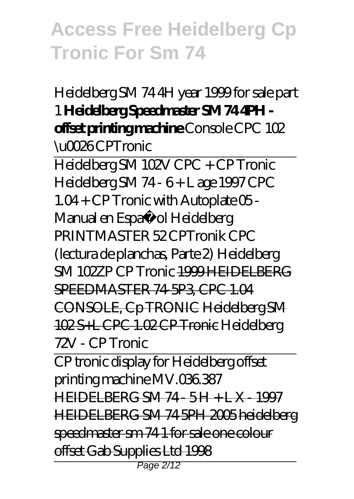Heidelberg SM 74 4H year 1999 for sale part 1 **Heidelberg Speedmaster SM 74 4PH offset printing machine** *Console CPC 102 \u0026 CPTronic*

Heidelberg SM 102V CPC + CP Tronic *Heidelberg SM 74 - 6 + L age 1997 CPC 1.04 + CP Tronic with Autoplate* 05 - Manual en Español Heidelberg PRINTMASTER 52 CPTronik CPC (lectura de planchas, Parte 2) *Heidelberg SM 102ZP CP Tronic* 1999 HEIDELBERG SPEEDMASTER 74-5P3 CPC 1.04 CONSOLE, Cp TRONIC Heidelberg SM 102S+L CPC 1.02 CP Tronic Heidelberg 72V - CP Tronic

CP tronic display for Heidelberg offset printing machine MV.036.387 HEIDELBERG SM 74 - 5 H + L X - 1997 HEIDELBERG SM 74 5PH 2005 heidelberg speedmaster sm 74 1 for sale one colour offset Gab Supplies Ltd 1998 Page 2/12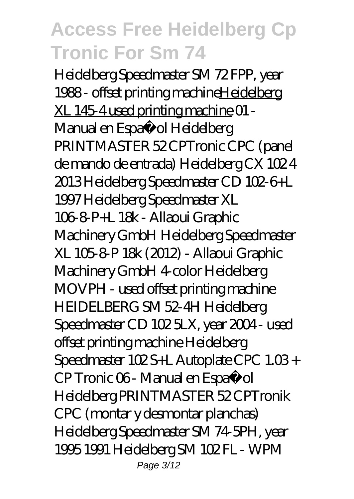Heidelberg Speedmaster SM 72 FPP, year 1988 - offset printing machineHeidelberg XL 145-4 used printing machine *01 - Manual en Españ ol Heidelberg PRINTMASTER 52 CPTronic CPC (panel de mando de entrada) Heidelberg CX 102 4 2013 Heidelberg Speedmaster CD 102-6+L 1997 Heidelberg Speedmaster XL 106-8-P+L 18k - Allaoui Graphic Machinery GmbH Heidelberg Speedmaster XL 105-8-P 18k (2012) - Allaoui Graphic Machinery GmbH 4-color Heidelberg MOVPH - used offset printing machine* HEIDELBERG SM 52-4H *Heidelberg Speedmaster CD 102 5LX, year 2004 - used offset printing machine Heidelberg Speedmaster 102 S+L Autoplate CPC 1.03 + CP Tronic 06 - Manual en Español Heidelberg PRINTMASTER 52 CPTronik CPC (montar y desmontar planchas) Heidelberg Speedmaster SM 74-5PH, year 1995 1991 Heidelberg SM 102 FL - WPM* Page 3/12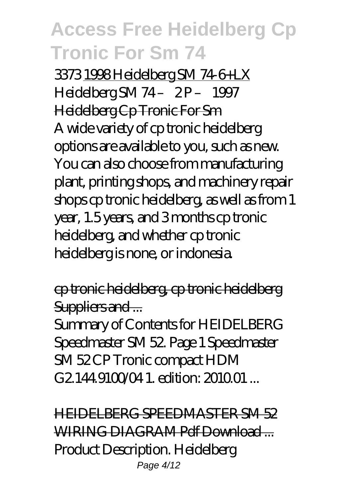*3373* 1998 Heidelberg SM 74-6+LX *Heidelberg SM 74 – 2 P – 1997* Heidelberg Cp Tronic For Sm A wide variety of cp tronic heidelberg options are available to you, such as new. You can also choose from manufacturing plant, printing shops, and machinery repair shops cp tronic heidelberg, as well as from 1 year, 1.5 years, and 3 months cp tronic heidelberg, and whether cp tronic heidelberg is none, or indonesia.

cp tronic heidelberg, cp tronic heidelberg Suppliers and ...

Summary of Contents for HEIDELBERG Speedmaster SM 52. Page 1 Speedmaster SM 52 CP Tronic compact HDM G2.144.910004.1 edition: 2010.01

HEIDELBERG SPEEDMASTER SM 52 WIRING DIAGRAM Pdf Download Product Description. Heidelberg Page 4/12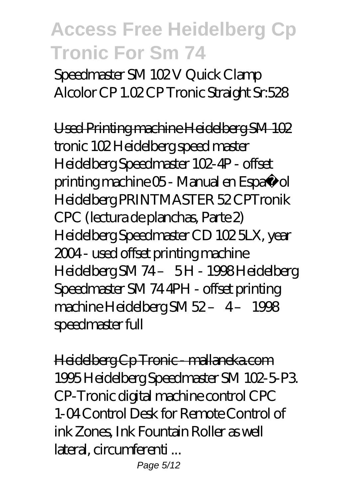Speedmaster SM 102V Quick Clamp Alcolor CP 1.02 CP Tronic Straight Sr:528

Used Printing machine Heidelberg SM 102 tronic 102 Heidelberg speed master Heidelberg Speedmaster 102-4P - offset printing machine 05 - Manual en Español Heidelberg PRINTMASTER 52 CPTronik CPC (lectura de planchas, Parte 2) Heidelberg Speedmaster CD 102 5LX, year 2004 - used offset printing machine Heidelberg SM 74 – 5 H - 1998 Heidelberg Speedmaster SM 74 4PH - offset printing machine Heidelberg SM 52- 4-1998 speedmaster full

Heidelberg Cp Tronic - mallaneka.com 1995 Heidelberg Speedmaster SM 102-5-P3. CP-Tronic digital machine control CPC 1-04 Control Desk for Remote Control of ink Zones, Ink Fountain Roller as well lateral, circumferenti ...

Page 5/12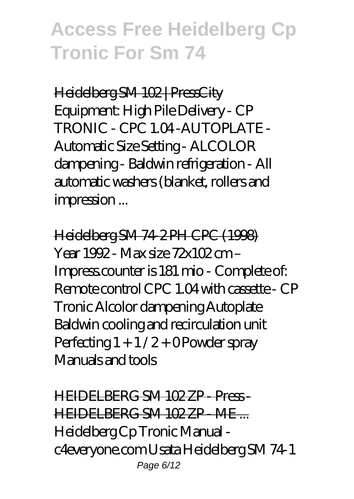Heidelberg SM 102 | PressCity Equipment: High Pile Delivery - CP TRONIC - CPC 104-AUTOPLATE -Automatic Size Setting - ALCOLOR dampening - Baldwin refrigeration - All automatic washers (blanket, rollers and impression ...

Heidelberg SM 74-2 PH CPC (1998) Year 1992 - Max size 72x102 cm – Impress.counter is 181 mio - Complete of: Remote control CPC 1.04 with cassette - CP Tronic Alcolor dampening Autoplate Baldwin cooling and recirculation unit Perfecting  $1 + 1/2 +$  OPowder spray Manuals and tools

HEIDELBERG SM 102 ZP - Press - HEIDELBERG SM 102 ZP - ME ... Heidelberg Cp Tronic Manual c4everyone.com Usata Heidelberg SM 74-1 Page 6/12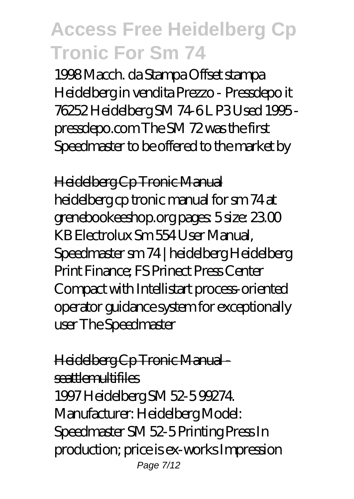1998 Macch. da Stampa Offset stampa Heidelberg in vendita Prezzo - Pressdepo it 76252 Heidelberg SM 74-6 L P3 Used 1995 pressdepo.com The SM 72 was the first Speedmaster to be offered to the market by

Heidelberg Cp Tronic Manual

heidelberg cp tronic manual for sm 74 at grenebookeeshop.org pages: 5 size: 23.00 KB Electrolux Sm 554 User Manual, Speedmaster sm 74 | heidelberg Heidelberg Print Finance; FS Prinect Press Center Compact with Intellistart process-oriented operator guidance system for exceptionally user The Speedmaster

#### Heidelberg Cp Tronic Manual seattlemultifiles

1997 Heidelberg SM 52-5 99274. Manufacturer: Heidelberg Model: Speedmaster SM 52-5 Printing Press In production; price is ex-works Impression Page 7/12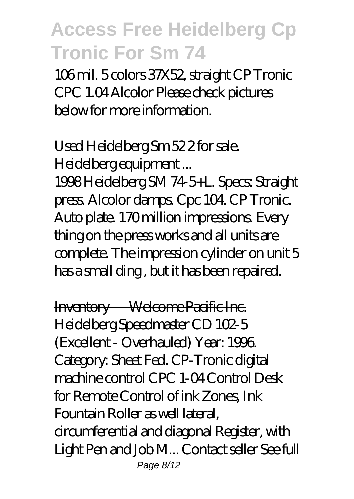106 mil. 5 colors 37X52, straight CP Tronic CPC 1.04 Alcolor Please check pictures below for more information.

### Used Heidelberg Sm 52 2 for sale. Heidelberg equipment ...

1998 Heidelberg SM 74-5+L. Specs: Straight press. Alcolor damps. Cpc 104. CP Tronic. Auto plate. 170 million impressions. Every thing on the press works and all units are complete. The impression cylinder on unit 5 has a small ding , but it has been repaired.

Inventory — Welcome Pacific Inc. Heidelberg Speedmaster CD 102-5 (Excellent - Overhauled) Year: 1996. Category: Sheet Fed. CP-Tronic digital machine control CPC 1-04 Control Desk for Remote Control of ink Zones, Ink Fountain Roller as well lateral, circumferential and diagonal Register, with Light Pen and Job M... Contact seller See full Page 8/12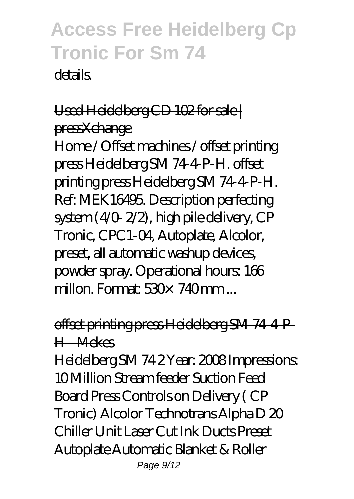details.

### Used Heidelberg CD 102 for sale | pressXchange

Home / Offset machines / offset printing press Heidelberg SM 74-4-P-H. offset printing press Heidelberg SM 74-4-P-H. Ref: MEK16495. Description perfecting system (4/0- 2/2), high pile delivery, CP Tronic, CPC1-04, Autoplate, Alcolor, preset, all automatic washup devices, powder spray. Operational hours: 166 millon. Format:  $530 \times 740$  mm ...

### offset printing press Heidelberg SM 74-4-P-H - Mekes

Heidelberg SM 74 2 Year: 2008 Impressions: 10 Million Stream feeder Suction Feed Board Press Controls on Delivery ( CP Tronic) Alcolor Technotrans Alpha D 20 Chiller Unit Laser Cut Ink Ducts Preset Autoplate Automatic Blanket & Roller Page 9/12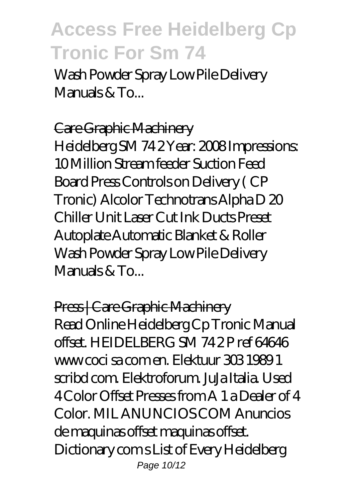Wash Powder Spray Low Pile Delivery Manuals  $\&$  To...

#### Care Graphic Machinery

Heidelberg SM 74 2 Year: 2008 Impressions: 10 Million Stream feeder Suction Feed Board Press Controls on Delivery ( CP Tronic) Alcolor Technotrans Alpha D 20 Chiller Unit Laser Cut Ink Ducts Preset Autoplate Automatic Blanket & Roller Wash Powder Spray Low Pile Delivery Manuals  $\&$  To...

Press | Care Graphic Machinery Read Online Heidelberg Cp Tronic Manual offset. HEIDELBERG SM 74 2 P ref 64646 www coci sa com en. Elektuur 303 1989 1 scribd com. Elektroforum. JuJa Italia. Used 4 Color Offset Presses from A 1 a Dealer of 4 Color. MIL ANUNCIOS COM Anuncios de maquinas offset maquinas offset. Dictionary com s List of Every Heidelberg Page 10/12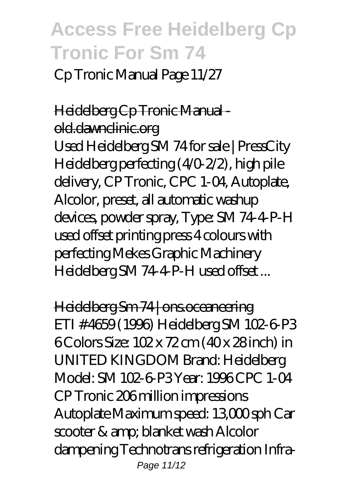Cp Tronic Manual Page 11/27

#### Heidelberg Cp Tronic Manual old.dawnclinic.org

Used Heidelberg SM 74 for sale | PressCity Heidelberg perfecting (4/0-2/2), high pile delivery, CP Tronic, CPC 1-04, Autoplate, Alcolor, preset, all automatic washup devices, powder spray, Type: SM 74-4-P-H used offset printing press 4 colours with perfecting Mekes Graphic Machinery Heidelberg SM 74-4-P-H used offset...

Heidelberg Sm 74 | ons.oceaneering ETI # 4659 (1996) Heidelberg SM 102-6-P3 6 Colors Size: 102 x 72 cm (40 x 28 inch) in UNITED KINGDOM Brand: Heidelberg Model: SM 102-6-P3 Year: 1996 CPC 1-04 CP Tronic 206 million impressions Autoplate Maximum speed: 13,000 sph Car scooter & amp; blanket wash Alcolor dampening Technotrans refrigeration Infra-Page 11/12